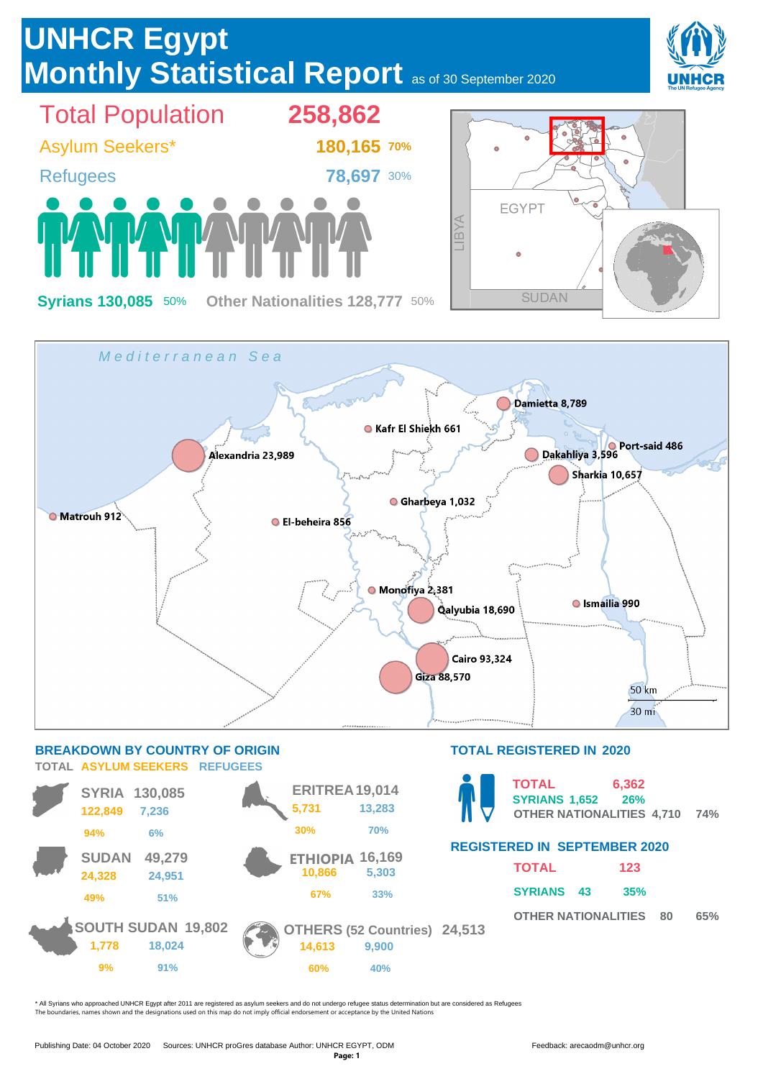

\* All Syrians who approached UNHCR Egypt after 2011 are registered as asylum seekers and do not undergo refugee status determination but are considered as Refugees The boundaries, names shown and the designations used on this map do not imply official endorsement or acceptance by the United Nations